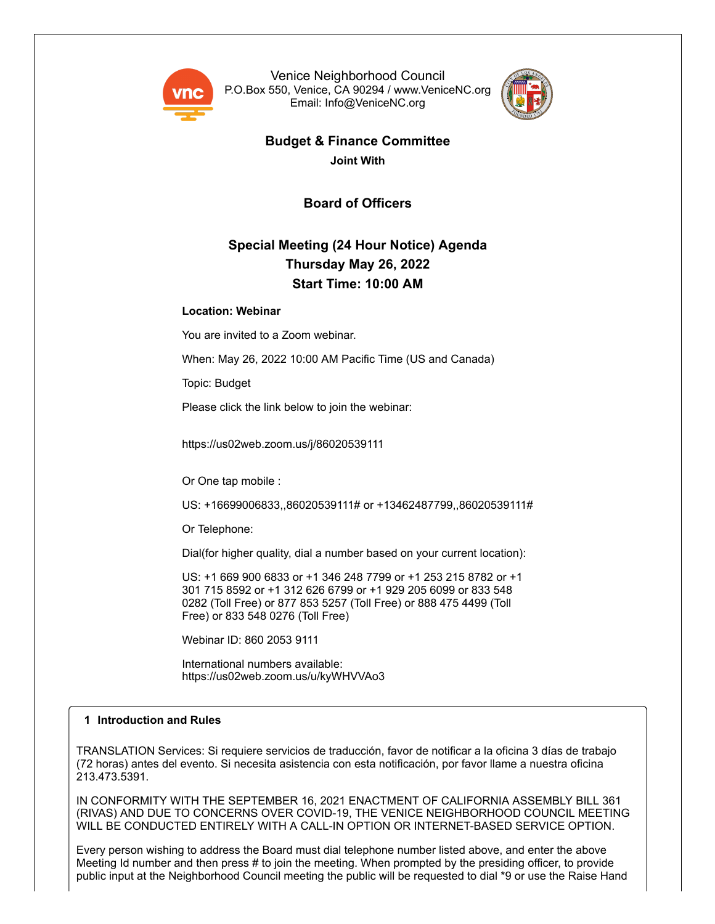

Venice Neighborhood Council P.O.Box 550, Venice, CA 90294 / www.VeniceNC.org Email: Info@VeniceNC.org



# **Budget & Finance Committee**

**Joint With**

**Board of Officers**

# **Special Meeting (24 Hour Notice) Agenda Thursday May 26, 2022 Start Time: 10:00 AM**

# **Location: Webinar**

You are invited to a Zoom webinar.

When: May 26, 2022 10:00 AM Pacific Time (US and Canada)

Topic: Budget

Please click the link below to join the webinar:

https://us02web.zoom.us/j/86020539111

Or One tap mobile :

US: +16699006833,,86020539111# or +13462487799,,86020539111#

Or Telephone:

Dial(for higher quality, dial a number based on your current location):

US: +1 669 900 6833 or +1 346 248 7799 or +1 253 215 8782 or +1 301 715 8592 or +1 312 626 6799 or +1 929 205 6099 or 833 548 0282 (Toll Free) or 877 853 5257 (Toll Free) or 888 475 4499 (Toll Free) or 833 548 0276 (Toll Free)

Webinar ID: 860 2053 9111

International numbers available: https://us02web.zoom.us/u/kyWHVVAo3

# **1 Introduction and Rules**

TRANSLATION Services: Si requiere servicios de traducción, favor de notificar a la oficina 3 días de trabajo (72 horas) antes del evento. Si necesita asistencia con esta notificación, por favor llame a nuestra oficina 213.473.5391.

IN CONFORMITY WITH THE SEPTEMBER 16, 2021 ENACTMENT OF CALIFORNIA ASSEMBLY BILL 361 (RIVAS) AND DUE TO CONCERNS OVER COVID-19, THE VENICE NEIGHBORHOOD COUNCIL MEETING WILL BE CONDUCTED ENTIRELY WITH A CALL-IN OPTION OR INTERNET-BASED SERVICE OPTION.

Every person wishing to address the Board must dial telephone number listed above, and enter the above Meeting Id number and then press # to join the meeting. When prompted by the presiding officer, to provide public input at the Neighborhood Council meeting the public will be requested to dial \*9 or use the Raise Hand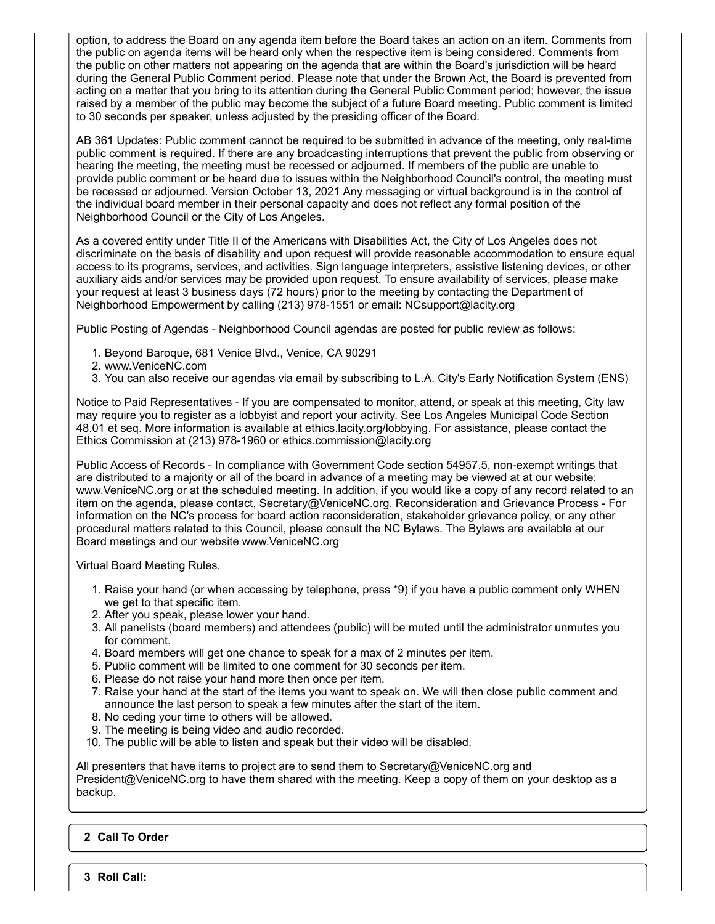option, to address the Board on any agenda item before the Board takes an action on an item. Comments from the public on agenda items will be heard only when the respective item is being considered. Comments from the public on other matters not appearing on the agenda that are within the Board's jurisdiction will be heard during the General Public Comment period. Please note that under the Brown Act, the Board is prevented from acting on a matter that you bring to its attention during the General Public Comment period; however, the issue raised by a member of the public may become the subject of a future Board meeting. Public comment is limited to 30 seconds per speaker, unless adjusted by the presiding officer of the Board.

AB 361 Updates: Public comment cannot be required to be submitted in advance of the meeting, only real-time public comment is required. If there are any broadcasting interruptions that prevent the public from observing or hearing the meeting, the meeting must be recessed or adjourned. If members of the public are unable to provide public comment or be heard due to issues within the Neighborhood Council's control, the meeting must be recessed or adjourned. Version October 13, 2021 Any messaging or virtual background is in the control of the individual board member in their personal capacity and does not reflect any formal position of the Neighborhood Council or the City of Los Angeles.

As a covered entity under Title II of the Americans with Disabilities Act, the City of Los Angeles does not discriminate on the basis of disability and upon request will provide reasonable accommodation to ensure equal access to its programs, services, and activities. Sign language interpreters, assistive listening devices, or other auxiliary aids and/or services may be provided upon request. To ensure availability of services, please make your request at least 3 business days (72 hours) prior to the meeting by contacting the Department of Neighborhood Empowerment by calling (213) 978-1551 or email: NCsupport@lacity.org

Public Posting of Agendas - Neighborhood Council agendas are posted for public review as follows:

- 1. Beyond Baroque, 681 Venice Blvd., Venice, CA 90291
- 2. www.VeniceNC.com
- 3. You can also receive our agendas via email by subscribing to L.A. City's Early Notification System (ENS)

Notice to Paid Representatives - If you are compensated to monitor, attend, or speak at this meeting, City law may require you to register as a lobbyist and report your activity. See Los Angeles Municipal Code Section 48.01 et seq. More information is available at ethics.lacity.org/lobbying. For assistance, please contact the Ethics Commission at (213) 978-1960 or ethics.commission@lacity.org

Public Access of Records - In compliance with Government Code section 54957.5, non-exempt writings that are distributed to a majority or all of the board in advance of a meeting may be viewed at at our website: www.VeniceNC.org or at the scheduled meeting. In addition, if you would like a copy of any record related to an item on the agenda, please contact, Secretary@VeniceNC.org. Reconsideration and Grievance Process - For information on the NC's process for board action reconsideration, stakeholder grievance policy, or any other procedural matters related to this Council, please consult the NC Bylaws. The Bylaws are available at our Board meetings and our website www.VeniceNC.org

Virtual Board Meeting Rules.

- 1. Raise your hand (or when accessing by telephone, press \*9) if you have a public comment only WHEN we get to that specific item.
- 2. After you speak, please lower your hand.
- 3. All panelists (board members) and attendees (public) will be muted until the administrator unmutes you for comment.
- 4. Board members will get one chance to speak for a max of 2 minutes per item.
- 5. Public comment will be limited to one comment for 30 seconds per item.
- 6. Please do not raise your hand more then once per item.
- 7. Raise your hand at the start of the items you want to speak on. We will then close public comment and announce the last person to speak a few minutes after the start of the item.
- 8. No ceding your time to others will be allowed.
- 9. The meeting is being video and audio recorded.
- 10. The public will be able to listen and speak but their video will be disabled.

All presenters that have items to project are to send them to Secretary $@V$ eniceNC.org and President@VeniceNC.org to have them shared with the meeting. Keep a copy of them on your desktop as a backup.

# **2 Call To Order**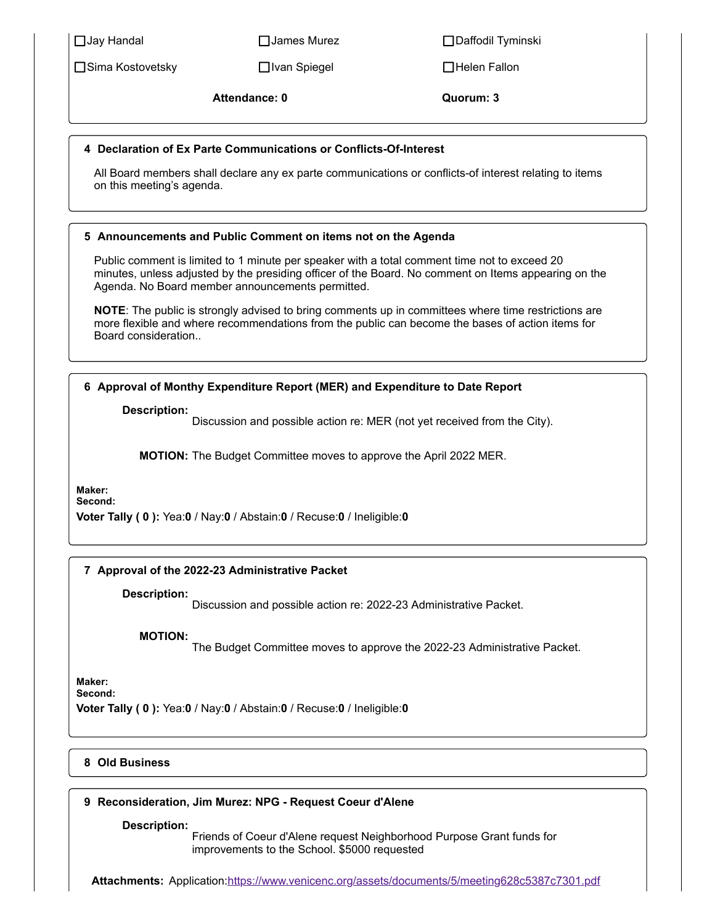Sima Kostovetsky Ivan Spiegel Helen Fallon

Jay Handal James Murez Daffodil Tyminski

**Attendance: 0 Quorum: 3**

# **4 Declaration of Ex Parte Communications or Conflicts-Of-Interest**

All Board members shall declare any ex parte communications or conflicts-of interest relating to items on this meeting's agenda.

# **5 Announcements and Public Comment on items not on the Agenda**

Public comment is limited to 1 minute per speaker with a total comment time not to exceed 20 minutes, unless adjusted by the presiding officer of the Board. No comment on Items appearing on the Agenda. No Board member announcements permitted.

**NOTE**: The public is strongly advised to bring comments up in committees where time restrictions are more flexible and where recommendations from the public can become the bases of action items for Board consideration..

# **6 Approval of Monthy Expenditure Report (MER) and Expenditure to Date Report**

**Description:**

Discussion and possible action re: MER (not yet received from the City).

**MOTION:** The Budget Committee moves to approve the April 2022 MER.

**Maker:**

**Second:**

**Voter Tally ( 0 ):** Yea:**0** / Nay:**0** / Abstain:**0** / Recuse:**0** / Ineligible:**0**

# **7 Approval of the 2022-23 Administrative Packet**

**Description:**

Discussion and possible action re: 2022-23 Administrative Packet.

# **MOTION:**

The Budget Committee moves to approve the 2022-23 Administrative Packet.

**Maker:**

**Second:**

**Voter Tally ( 0 ):** Yea:**0** / Nay:**0** / Abstain:**0** / Recuse:**0** / Ineligible:**0**

# **8 Old Business**

# **9 Reconsideration, Jim Murez: NPG - Request Coeur d'Alene**

**Description:**

Friends of Coeur d'Alene request Neighborhood Purpose Grant funds for improvements to the School. \$5000 requested

**Attachments:** Application:<https://www.venicenc.org/assets/documents/5/meeting628c5387c7301.pdf>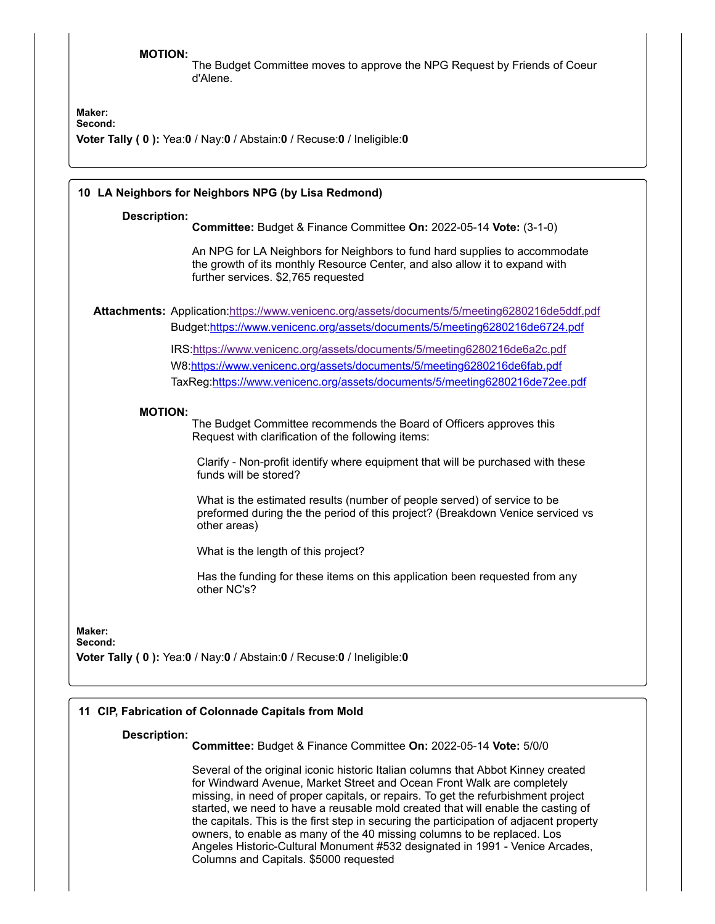### **MOTION:**

The Budget Committee moves to approve the NPG Request by Friends of Coeur d'Alene.

**Maker: Second:**

**Voter Tally ( 0 ):** Yea:**0** / Nay:**0** / Abstain:**0** / Recuse:**0** / Ineligible:**0**

|                     | 10 LA Neighbors for Neighbors NPG (by Lisa Redmond)                                                                                                                                              |
|---------------------|--------------------------------------------------------------------------------------------------------------------------------------------------------------------------------------------------|
| <b>Description:</b> | Committee: Budget & Finance Committee On: 2022-05-14 Vote: (3-1-0)                                                                                                                               |
|                     | An NPG for LA Neighbors for Neighbors to fund hard supplies to accommodate<br>the growth of its monthly Resource Center, and also allow it to expand with<br>further services. \$2,765 requested |
|                     | Attachments: Application:https://www.venicenc.org/assets/documents/5/meeting6280216de5ddf.pdf                                                                                                    |
|                     | Budget:https://www.venicenc.org/assets/documents/5/meeting6280216de6724.pdf                                                                                                                      |
|                     | IRS:https://www.venicenc.org/assets/documents/5/meeting6280216de6a2c.pdf                                                                                                                         |
|                     | W8:https://www.venicenc.org/assets/documents/5/meeting6280216de6fab.pdf                                                                                                                          |
|                     | TaxReg:https://www.venicenc.org/assets/documents/5/meeting6280216de72ee.pdf                                                                                                                      |
| <b>MOTION:</b>      |                                                                                                                                                                                                  |
|                     | The Budget Committee recommends the Board of Officers approves this<br>Request with clarification of the following items:                                                                        |
|                     | Clarify - Non-profit identify where equipment that will be purchased with these<br>funds will be stored?                                                                                         |
|                     | What is the estimated results (number of people served) of service to be<br>preformed during the the period of this project? (Breakdown Venice serviced vs<br>other areas)                       |
|                     | What is the length of this project?                                                                                                                                                              |
|                     | Has the funding for these items on this application been requested from any<br>other NC's?                                                                                                       |
| Maker:<br>Second:   | Voter Tally (0): Yea:0 / Nay:0 / Abstain:0 / Recuse:0 / Ineligible:0                                                                                                                             |
|                     |                                                                                                                                                                                                  |

# **11 CIP, Fabrication of Colonnade Capitals from Mold**

#### **Description:**

**Committee:** Budget & Finance Committee **On:** 2022-05-14 **Vote:** 5/0/0

Several of the original iconic historic Italian columns that Abbot Kinney created for Windward Avenue, Market Street and Ocean Front Walk are completely missing, in need of proper capitals, or repairs. To get the refurbishment project started, we need to have a reusable mold created that will enable the casting of the capitals. This is the first step in securing the participation of adjacent property owners, to enable as many of the 40 missing columns to be replaced. Los Angeles Historic-Cultural Monument #532 designated in 1991 - Venice Arcades, Columns and Capitals. \$5000 requested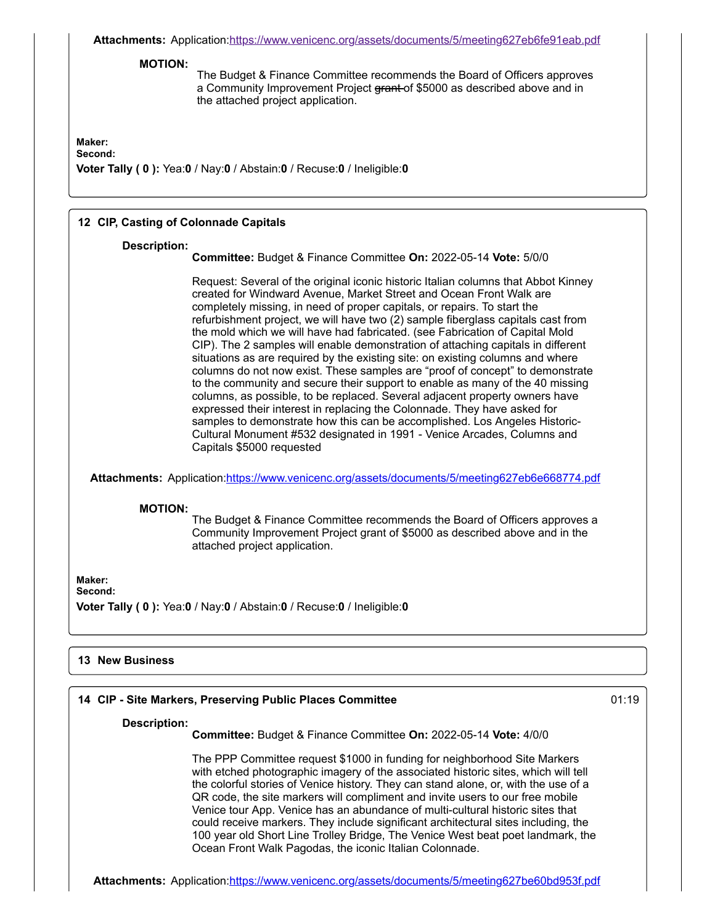**Attachments:** Application:<https://www.venicenc.org/assets/documents/5/meeting627eb6fe91eab.pdf>

#### **MOTION:**

The Budget & Finance Committee recommends the Board of Officers approves a Community Improvement Project grant of \$5000 as described above and in the attached project application.

# **Maker:**

**Second:**

**Voter Tally ( 0 ):** Yea:**0** / Nay:**0** / Abstain:**0** / Recuse:**0** / Ineligible:**0**

### **12 CIP, Casting of Colonnade Capitals**

#### **Description:**

**Committee:** Budget & Finance Committee **On:** 2022-05-14 **Vote:** 5/0/0

Request: Several of the original iconic historic Italian columns that Abbot Kinney created for Windward Avenue, Market Street and Ocean Front Walk are completely missing, in need of proper capitals, or repairs. To start the refurbishment project, we will have two (2) sample fiberglass capitals cast from the mold which we will have had fabricated. (see Fabrication of Capital Mold CIP). The 2 samples will enable demonstration of attaching capitals in different situations as are required by the existing site: on existing columns and where columns do not now exist. These samples are "proof of concept" to demonstrate to the community and secure their support to enable as many of the 40 missing columns, as possible, to be replaced. Several adjacent property owners have expressed their interest in replacing the Colonnade. They have asked for samples to demonstrate how this can be accomplished. Los Angeles Historic-Cultural Monument #532 designated in 1991 - Venice Arcades, Columns and Capitals \$5000 requested

**Attachments:** Application:<https://www.venicenc.org/assets/documents/5/meeting627eb6e668774.pdf>

### **MOTION:**

The Budget & Finance Committee recommends the Board of Officers approves a Community Improvement Project grant of \$5000 as described above and in the attached project application.

**Maker:**

**Second:**

**Voter Tally ( 0 ):** Yea:**0** / Nay:**0** / Abstain:**0** / Recuse:**0** / Ineligible:**0**

### **13 New Business**

# **14 CIP - Site Markers, Preserving Public Places Committee** 01:19

#### **Description:**

**Committee:** Budget & Finance Committee **On:** 2022-05-14 **Vote:** 4/0/0

The PPP Committee request \$1000 in funding for neighborhood Site Markers with etched photographic imagery of the associated historic sites, which will tell the colorful stories of Venice history. They can stand alone, or, with the use of a QR code, the site markers will compliment and invite users to our free mobile Venice tour App. Venice has an abundance of multi-cultural historic sites that could receive markers. They include significant architectural sites including, the 100 year old Short Line Trolley Bridge, The Venice West beat poet landmark, the Ocean Front Walk Pagodas, the iconic Italian Colonnade.

**Attachments:** Application:<https://www.venicenc.org/assets/documents/5/meeting627be60bd953f.pdf>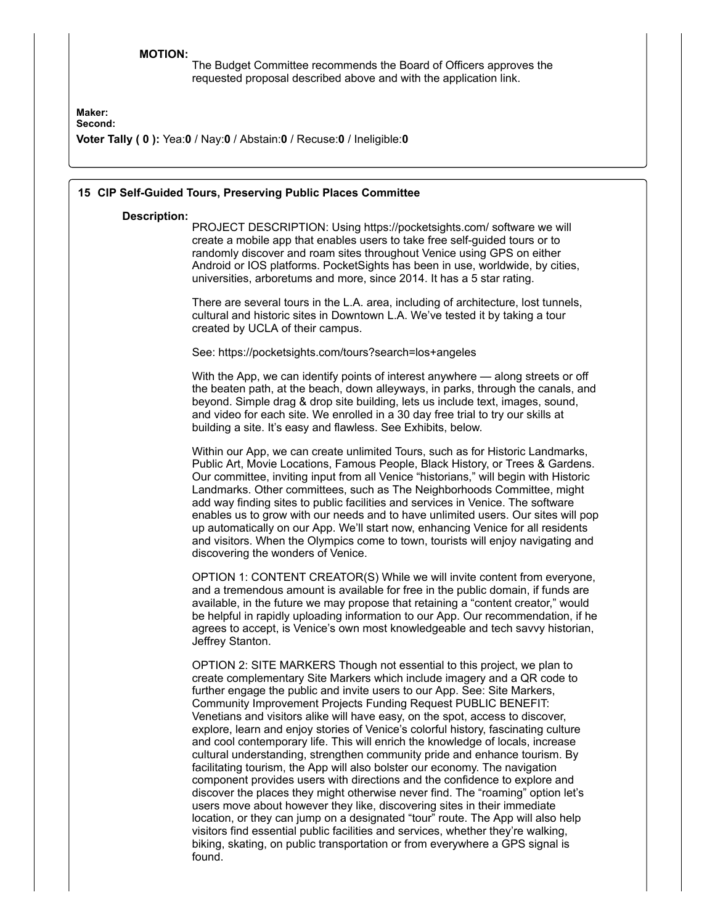# **MOTION:**

The Budget Committee recommends the Board of Officers approves the requested proposal described above and with the application link.

**Maker:**

**Second:**

**Voter Tally ( 0 ):** Yea:**0** / Nay:**0** / Abstain:**0** / Recuse:**0** / Ineligible:**0**

| 15 CIP Self-Guided Tours, Preserving Public Places Committee |                                                                                                                                                                                                                                                                                                                                                                                                                                                                                                                                                                                                                                                                                                                                                                                                                                                                                                                                                                                                                                                                                                                                                                                                                                        |  |  |  |  |  |
|--------------------------------------------------------------|----------------------------------------------------------------------------------------------------------------------------------------------------------------------------------------------------------------------------------------------------------------------------------------------------------------------------------------------------------------------------------------------------------------------------------------------------------------------------------------------------------------------------------------------------------------------------------------------------------------------------------------------------------------------------------------------------------------------------------------------------------------------------------------------------------------------------------------------------------------------------------------------------------------------------------------------------------------------------------------------------------------------------------------------------------------------------------------------------------------------------------------------------------------------------------------------------------------------------------------|--|--|--|--|--|
| <b>Description:</b>                                          | PROJECT DESCRIPTION: Using https://pocketsights.com/ software we will<br>create a mobile app that enables users to take free self-guided tours or to<br>randomly discover and roam sites throughout Venice using GPS on either<br>Android or IOS platforms. PocketSights has been in use, worldwide, by cities,<br>universities, arboretums and more, since 2014. It has a 5 star rating.                                                                                                                                                                                                                                                                                                                                                                                                                                                                                                                                                                                                                                                                                                                                                                                                                                              |  |  |  |  |  |
|                                                              | There are several tours in the L.A. area, including of architecture, lost tunnels,<br>cultural and historic sites in Downtown L.A. We've tested it by taking a tour<br>created by UCLA of their campus.                                                                                                                                                                                                                                                                                                                                                                                                                                                                                                                                                                                                                                                                                                                                                                                                                                                                                                                                                                                                                                |  |  |  |  |  |
|                                                              | See: https://pocketsights.com/tours?search=los+angeles                                                                                                                                                                                                                                                                                                                                                                                                                                                                                                                                                                                                                                                                                                                                                                                                                                                                                                                                                                                                                                                                                                                                                                                 |  |  |  |  |  |
|                                                              | With the App, we can identify points of interest anywhere — along streets or off<br>the beaten path, at the beach, down alleyways, in parks, through the canals, and<br>beyond. Simple drag & drop site building, lets us include text, images, sound,<br>and video for each site. We enrolled in a 30 day free trial to try our skills at<br>building a site. It's easy and flawless. See Exhibits, below.                                                                                                                                                                                                                                                                                                                                                                                                                                                                                                                                                                                                                                                                                                                                                                                                                            |  |  |  |  |  |
|                                                              | Within our App, we can create unlimited Tours, such as for Historic Landmarks,<br>Public Art, Movie Locations, Famous People, Black History, or Trees & Gardens.<br>Our committee, inviting input from all Venice "historians," will begin with Historic<br>Landmarks. Other committees, such as The Neighborhoods Committee, might<br>add way finding sites to public facilities and services in Venice. The software<br>enables us to grow with our needs and to have unlimited users. Our sites will pop<br>up automatically on our App. We'll start now, enhancing Venice for all residents<br>and visitors. When the Olympics come to town, tourists will enjoy navigating and<br>discovering the wonders of Venice.                                                                                                                                                                                                                                                                                                                                                                                                                                                                                                              |  |  |  |  |  |
|                                                              | OPTION 1: CONTENT CREATOR(S) While we will invite content from everyone,<br>and a tremendous amount is available for free in the public domain, if funds are<br>available, in the future we may propose that retaining a "content creator," would<br>be helpful in rapidly uploading information to our App. Our recommendation, if he<br>agrees to accept, is Venice's own most knowledgeable and tech savvy historian,<br>Jeffrey Stanton.                                                                                                                                                                                                                                                                                                                                                                                                                                                                                                                                                                                                                                                                                                                                                                                           |  |  |  |  |  |
|                                                              | OPTION 2: SITE MARKERS Though not essential to this project, we plan to<br>create complementary Site Markers which include imagery and a QR code to<br>further engage the public and invite users to our App. See: Site Markers,<br>Community Improvement Projects Funding Request PUBLIC BENEFIT:<br>Venetians and visitors alike will have easy, on the spot, access to discover,<br>explore, learn and enjoy stories of Venice's colorful history, fascinating culture<br>and cool contemporary life. This will enrich the knowledge of locals, increase<br>cultural understanding, strengthen community pride and enhance tourism. By<br>facilitating tourism, the App will also bolster our economy. The navigation<br>component provides users with directions and the confidence to explore and<br>discover the places they might otherwise never find. The "roaming" option let's<br>users move about however they like, discovering sites in their immediate<br>location, or they can jump on a designated "tour" route. The App will also help<br>visitors find essential public facilities and services, whether they're walking,<br>biking, skating, on public transportation or from everywhere a GPS signal is<br>found. |  |  |  |  |  |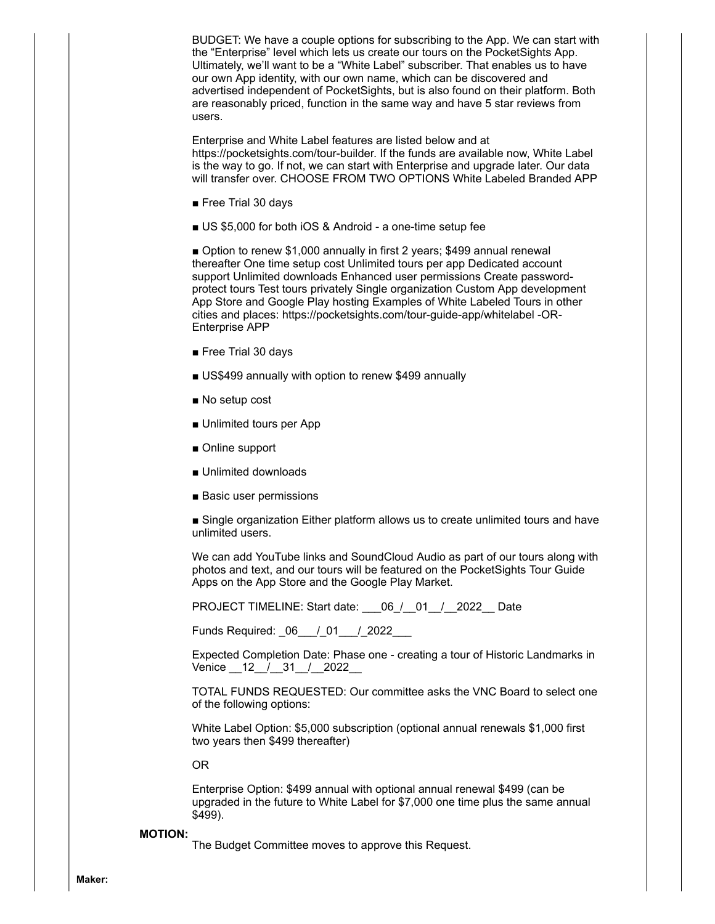BUDGET: We have a couple options for subscribing to the App. We can start with the "Enterprise" level which lets us create our tours on the PocketSights App. Ultimately, we'll want to be a "White Label" subscriber. That enables us to have our own App identity, with our own name, which can be discovered and advertised independent of PocketSights, but is also found on their platform. Both are reasonably priced, function in the same way and have 5 star reviews from users.

Enterprise and White Label features are listed below and at https://pocketsights.com/tour-builder. If the funds are available now, White Label is the way to go. If not, we can start with Enterprise and upgrade later. Our data will transfer over. CHOOSE FROM TWO OPTIONS White Labeled Branded APP

- Free Trial 30 days
- US \$5,000 for both iOS & Android a one-time setup fee

■ Option to renew \$1,000 annually in first 2 years; \$499 annual renewal thereafter One time setup cost Unlimited tours per app Dedicated account support Unlimited downloads Enhanced user permissions Create passwordprotect tours Test tours privately Single organization Custom App development App Store and Google Play hosting Examples of White Labeled Tours in other cities and places: https://pocketsights.com/tour-guide-app/whitelabel -OR-Enterprise APP

- Free Trial 30 days
- US\$499 annually with option to renew \$499 annually
- No setup cost
- Unlimited tours per App
- Online support
- Unlimited downloads
- Basic user permissions

■ Single organization Either platform allows us to create unlimited tours and have unlimited users.

We can add YouTube links and SoundCloud Audio as part of our tours along with photos and text, and our tours will be featured on the PocketSights Tour Guide Apps on the App Store and the Google Play Market.

PROJECT TIMELINE: Start date:  $06 / 01 / 2022$  Date

Funds Required: \_06\_\_\_/\_01\_\_\_/\_2022\_\_\_

Expected Completion Date: Phase one - creating a tour of Historic Landmarks in Venice 12 / 31 / 2022

TOTAL FUNDS REQUESTED: Our committee asks the VNC Board to select one of the following options:

White Label Option: \$5,000 subscription (optional annual renewals \$1,000 first two years then \$499 thereafter)

OR

Enterprise Option: \$499 annual with optional annual renewal \$499 (can be upgraded in the future to White Label for \$7,000 one time plus the same annual \$499).

#### **MOTION:**

The Budget Committee moves to approve this Request.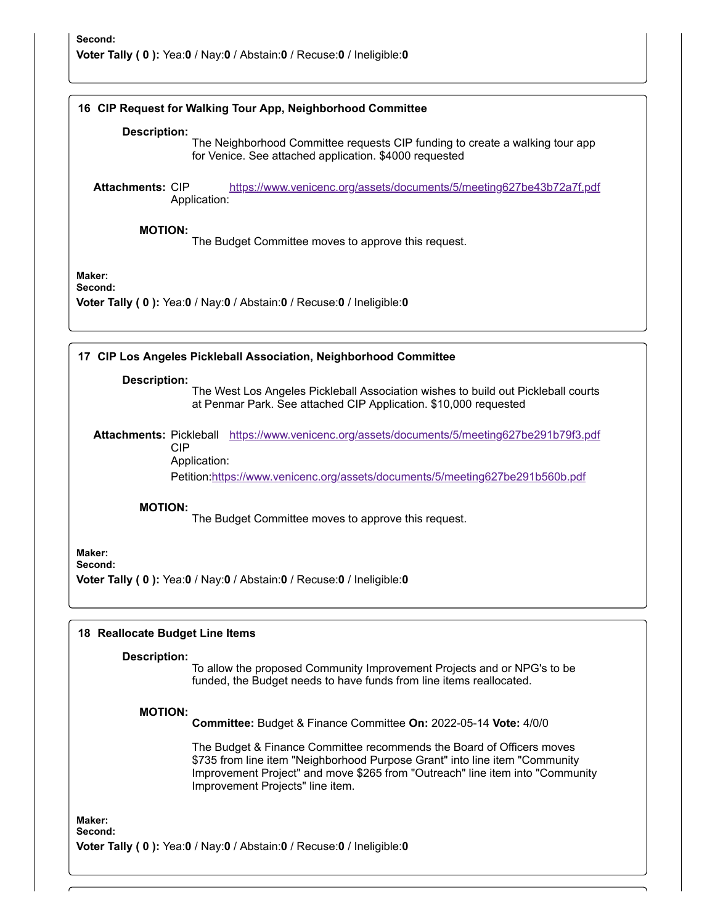# **16 CIP Request for Walking Tour App, Neighborhood Committee Description:** The Neighborhood Committee requests CIP funding to create a walking tour app for Venice. See attached application. \$4000 requested **Attachments:** CIP Application: <https://www.venicenc.org/assets/documents/5/meeting627be43b72a7f.pdf> **MOTION:** The Budget Committee moves to approve this request. **Maker: Second: Voter Tally ( 0 ):** Yea:**0** / Nay:**0** / Abstain:**0** / Recuse:**0** / Ineligible:**0 17 CIP Los Angeles Pickleball Association, Neighborhood Committee Description:** The West Los Angeles Pickleball Association wishes to build out Pickleball courts at Penmar Park. See attached CIP Application. \$10,000 requested Attachments: Pickleball <https://www.venicenc.org/assets/documents/5/meeting627be291b79f3.pdf> CIP Application: Petition[:https://www.venicenc.org/assets/documents/5/meeting627be291b560b.pdf](https://www.venicenc.org/assets/documents/5/meeting627be291b560b.pdf) **MOTION:** The Budget Committee moves to approve this request. **Maker: Second: Voter Tally ( 0 ):** Yea:**0** / Nay:**0** / Abstain:**0** / Recuse:**0** / Ineligible:**0 18 Reallocate Budget Line Items Description:** To allow the proposed Community Improvement Projects and or NPG's to be funded, the Budget needs to have funds from line items reallocated. **MOTION: Committee:** Budget & Finance Committee **On:** 2022-05-14 **Vote:** 4/0/0 The Budget & Finance Committee recommends the Board of Officers moves \$735 from line item "Neighborhood Purpose Grant" into line item "Community Improvement Project" and move \$265 from "Outreach" line item into "Community Improvement Projects" line item. **Maker: Second: Voter Tally ( 0 ):** Yea:**0** / Nay:**0** / Abstain:**0** / Recuse:**0** / Ineligible:**0**